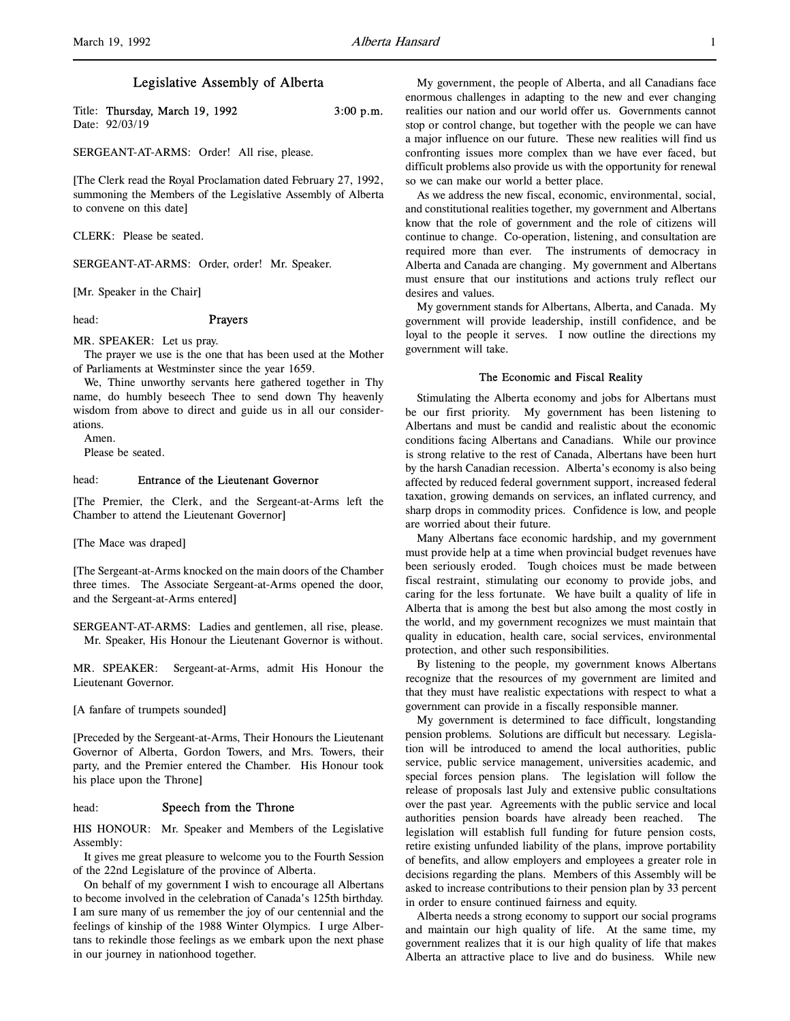l,

# Legislative Assembly of Alberta

| Title: Thursday, March 19, 1992 | $3:00$ p.m. |
|---------------------------------|-------------|
| Date: 92/03/19                  |             |

SERGEANT-AT-ARMS: Order! All rise, please.

[The Clerk read the Royal Proclamation dated February 27, 1992, summoning the Members of the Legislative Assembly of Alberta to convene on this date]

CLERK: Please be seated.

SERGEANT-AT-ARMS: Order, order! Mr. Speaker.

[Mr. Speaker in the Chair]

# head: Prayers

MR. SPEAKER: Let us pray.

The prayer we use is the one that has been used at the Mother of Parliaments at Westminster since the year 1659.

We, Thine unworthy servants here gathered together in Thy name, do humbly beseech Thee to send down Thy heavenly wisdom from above to direct and guide us in all our considerations.

Amen.

Please be seated.

### head: Entrance of the Lieutenant Governor

[The Premier, the Clerk, and the Sergeant-at-Arms left the Chamber to attend the Lieutenant Governor]

[The Mace was draped]

[The Sergeant-at-Arms knocked on the main doors of the Chamber three times. The Associate Sergeant-at-Arms opened the door, and the Sergeant-at-Arms entered]

SERGEANT-AT-ARMS: Ladies and gentlemen, all rise, please. Mr. Speaker, His Honour the Lieutenant Governor is without.

MR. SPEAKER: Sergeant-at-Arms, admit His Honour the Lieutenant Governor.

[A fanfare of trumpets sounded]

[Preceded by the Sergeant-at-Arms, Their Honours the Lieutenant Governor of Alberta, Gordon Towers, and Mrs. Towers, their party, and the Premier entered the Chamber. His Honour took his place upon the Throne]

## head: Speech from the Throne

HIS HONOUR: Mr. Speaker and Members of the Legislative Assembly:

It gives me great pleasure to welcome you to the Fourth Session of the 22nd Legislature of the province of Alberta.

On behalf of my government I wish to encourage all Albertans to become involved in the celebration of Canada's 125th birthday. I am sure many of us remember the joy of our centennial and the feelings of kinship of the 1988 Winter Olympics. I urge Albertans to rekindle those feelings as we embark upon the next phase in our journey in nationhood together.

My government, the people of Alberta, and all Canadians face enormous challenges in adapting to the new and ever changing realities our nation and our world offer us. Governments cannot stop or control change, but together with the people we can have a major influence on our future. These new realities will find us confronting issues more complex than we have ever faced, but difficult problems also provide us with the opportunity for renewal so we can make our world a better place.

As we address the new fiscal, economic, environmental, social, and constitutional realities together, my government and Albertans know that the role of government and the role of citizens will continue to change. Co-operation, listening, and consultation are required more than ever. The instruments of democracy in Alberta and Canada are changing. My government and Albertans must ensure that our institutions and actions truly reflect our desires and values.

My government stands for Albertans, Alberta, and Canada. My government will provide leadership, instill confidence, and be loyal to the people it serves. I now outline the directions my government will take.

#### The Economic and Fiscal Reality

Stimulating the Alberta economy and jobs for Albertans must be our first priority. My government has been listening to Albertans and must be candid and realistic about the economic conditions facing Albertans and Canadians. While our province is strong relative to the rest of Canada, Albertans have been hurt by the harsh Canadian recession. Alberta's economy is also being affected by reduced federal government support, increased federal taxation, growing demands on services, an inflated currency, and sharp drops in commodity prices. Confidence is low, and people are worried about their future.

Many Albertans face economic hardship, and my government must provide help at a time when provincial budget revenues have been seriously eroded. Tough choices must be made between fiscal restraint, stimulating our economy to provide jobs, and caring for the less fortunate. We have built a quality of life in Alberta that is among the best but also among the most costly in the world, and my government recognizes we must maintain that quality in education, health care, social services, environmental protection, and other such responsibilities.

By listening to the people, my government knows Albertans recognize that the resources of my government are limited and that they must have realistic expectations with respect to what a government can provide in a fiscally responsible manner.

My government is determined to face difficult, longstanding pension problems. Solutions are difficult but necessary. Legislation will be introduced to amend the local authorities, public service, public service management, universities academic, and special forces pension plans. The legislation will follow the release of proposals last July and extensive public consultations over the past year. Agreements with the public service and local authorities pension boards have already been reached. The legislation will establish full funding for future pension costs, retire existing unfunded liability of the plans, improve portability of benefits, and allow employers and employees a greater role in decisions regarding the plans. Members of this Assembly will be asked to increase contributions to their pension plan by 33 percent in order to ensure continued fairness and equity.

Alberta needs a strong economy to support our social programs and maintain our high quality of life. At the same time, my government realizes that it is our high quality of life that makes Alberta an attractive place to live and do business. While new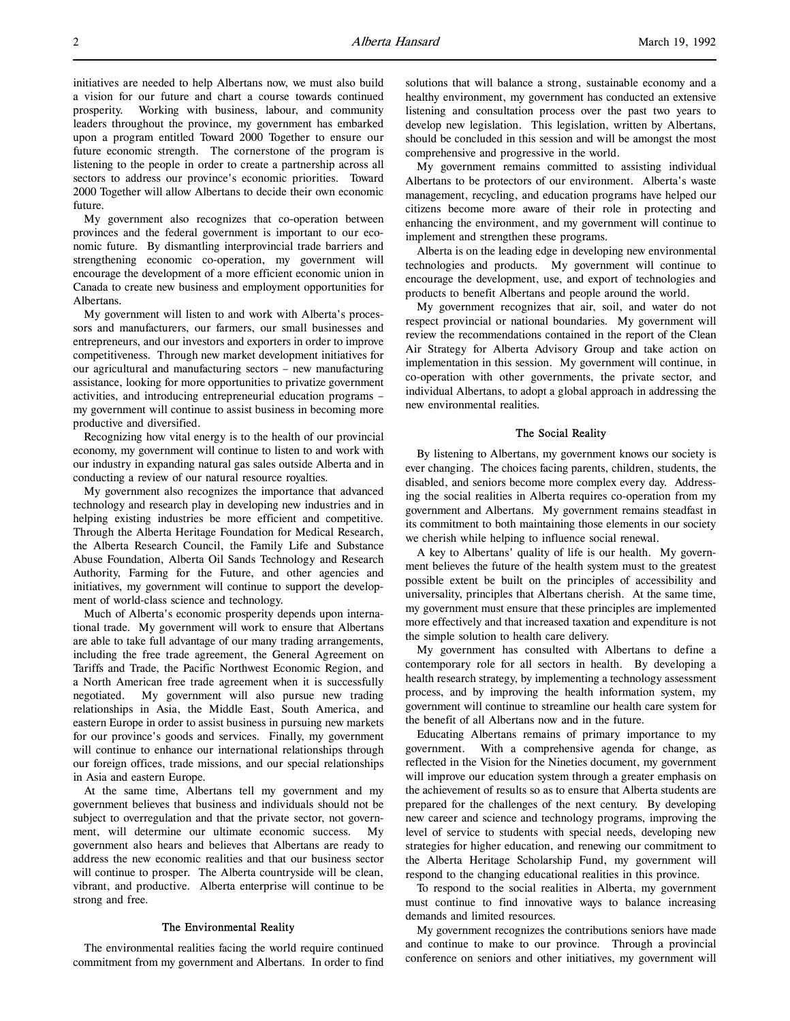initiatives are needed to help Albertans now, we must also build a vision for our future and chart a course towards continued prosperity. Working with business, labour, and community leaders throughout the province, my government has embarked upon a program entitled Toward 2000 Together to ensure our future economic strength. The cornerstone of the program is listening to the people in order to create a partnership across all sectors to address our province's economic priorities. Toward 2000 Together will allow Albertans to decide their own economic future.

My government also recognizes that co-operation between provinces and the federal government is important to our economic future. By dismantling interprovincial trade barriers and strengthening economic co-operation, my government will encourage the development of a more efficient economic union in Canada to create new business and employment opportunities for Albertans.

My government will listen to and work with Alberta's processors and manufacturers, our farmers, our small businesses and entrepreneurs, and our investors and exporters in order to improve competitiveness. Through new market development initiatives for our agricultural and manufacturing sectors – new manufacturing assistance, looking for more opportunities to privatize government activities, and introducing entrepreneurial education programs – my government will continue to assist business in becoming more productive and diversified.

Recognizing how vital energy is to the health of our provincial economy, my government will continue to listen to and work with our industry in expanding natural gas sales outside Alberta and in conducting a review of our natural resource royalties.

My government also recognizes the importance that advanced technology and research play in developing new industries and in helping existing industries be more efficient and competitive. Through the Alberta Heritage Foundation for Medical Research, the Alberta Research Council, the Family Life and Substance Abuse Foundation, Alberta Oil Sands Technology and Research Authority, Farming for the Future, and other agencies and initiatives, my government will continue to support the development of world-class science and technology.

Much of Alberta's economic prosperity depends upon international trade. My government will work to ensure that Albertans are able to take full advantage of our many trading arrangements, including the free trade agreement, the General Agreement on Tariffs and Trade, the Pacific Northwest Economic Region, and a North American free trade agreement when it is successfully negotiated. My government will also pursue new trading relationships in Asia, the Middle East, South America, and eastern Europe in order to assist business in pursuing new markets for our province's goods and services. Finally, my government will continue to enhance our international relationships through our foreign offices, trade missions, and our special relationships in Asia and eastern Europe.

At the same time, Albertans tell my government and my government believes that business and individuals should not be subject to overregulation and that the private sector, not government, will determine our ultimate economic success. My government also hears and believes that Albertans are ready to address the new economic realities and that our business sector will continue to prosper. The Alberta countryside will be clean, vibrant, and productive. Alberta enterprise will continue to be strong and free.

#### The Environmental Reality

The environmental realities facing the world require continued commitment from my government and Albertans. In order to find

solutions that will balance a strong, sustainable economy and a healthy environment, my government has conducted an extensive listening and consultation process over the past two years to develop new legislation. This legislation, written by Albertans, should be concluded in this session and will be amongst the most comprehensive and progressive in the world.

My government remains committed to assisting individual Albertans to be protectors of our environment. Alberta's waste management, recycling, and education programs have helped our citizens become more aware of their role in protecting and enhancing the environment, and my government will continue to implement and strengthen these programs.

Alberta is on the leading edge in developing new environmental technologies and products. My government will continue to encourage the development, use, and export of technologies and products to benefit Albertans and people around the world.

My government recognizes that air, soil, and water do not respect provincial or national boundaries. My government will review the recommendations contained in the report of the Clean Air Strategy for Alberta Advisory Group and take action on implementation in this session. My government will continue, in co-operation with other governments, the private sector, and individual Albertans, to adopt a global approach in addressing the new environmental realities.

## The Social Reality

By listening to Albertans, my government knows our society is ever changing. The choices facing parents, children, students, the disabled, and seniors become more complex every day. Addressing the social realities in Alberta requires co-operation from my government and Albertans. My government remains steadfast in its commitment to both maintaining those elements in our society we cherish while helping to influence social renewal.

A key to Albertans' quality of life is our health. My government believes the future of the health system must to the greatest possible extent be built on the principles of accessibility and universality, principles that Albertans cherish. At the same time, my government must ensure that these principles are implemented more effectively and that increased taxation and expenditure is not the simple solution to health care delivery.

My government has consulted with Albertans to define a contemporary role for all sectors in health. By developing a health research strategy, by implementing a technology assessment process, and by improving the health information system, my government will continue to streamline our health care system for the benefit of all Albertans now and in the future.

Educating Albertans remains of primary importance to my government. With a comprehensive agenda for change, as reflected in the Vision for the Nineties document, my government will improve our education system through a greater emphasis on the achievement of results so as to ensure that Alberta students are prepared for the challenges of the next century. By developing new career and science and technology programs, improving the level of service to students with special needs, developing new strategies for higher education, and renewing our commitment to the Alberta Heritage Scholarship Fund, my government will respond to the changing educational realities in this province.

To respond to the social realities in Alberta, my government must continue to find innovative ways to balance increasing demands and limited resources.

My government recognizes the contributions seniors have made and continue to make to our province. Through a provincial conference on seniors and other initiatives, my government will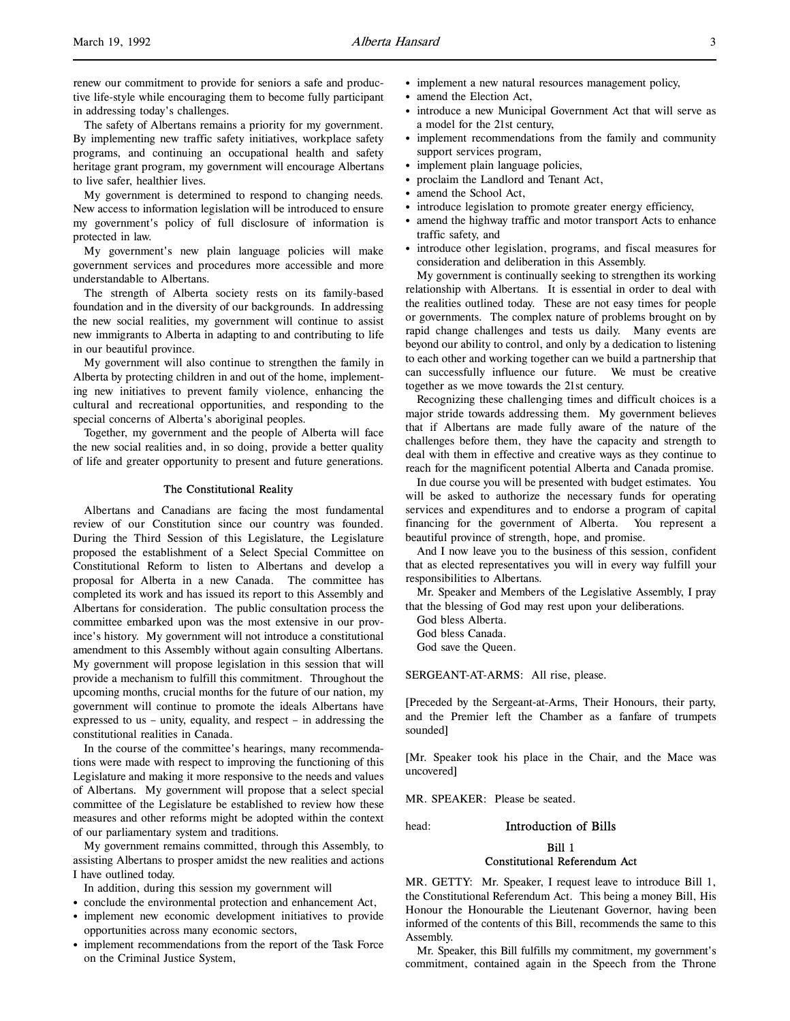l,

The safety of Albertans remains a priority for my government. By implementing new traffic safety initiatives, workplace safety programs, and continuing an occupational health and safety heritage grant program, my government will encourage Albertans to live safer, healthier lives.

My government is determined to respond to changing needs. New access to information legislation will be introduced to ensure my government's policy of full disclosure of information is protected in law.

My government's new plain language policies will make government services and procedures more accessible and more understandable to Albertans.

The strength of Alberta society rests on its family-based foundation and in the diversity of our backgrounds. In addressing the new social realities, my government will continue to assist new immigrants to Alberta in adapting to and contributing to life in our beautiful province.

My government will also continue to strengthen the family in Alberta by protecting children in and out of the home, implementing new initiatives to prevent family violence, enhancing the cultural and recreational opportunities, and responding to the special concerns of Alberta's aboriginal peoples.

Together, my government and the people of Alberta will face the new social realities and, in so doing, provide a better quality of life and greater opportunity to present and future generations.

### The Constitutional Reality

Albertans and Canadians are facing the most fundamental review of our Constitution since our country was founded. During the Third Session of this Legislature, the Legislature proposed the establishment of a Select Special Committee on Constitutional Reform to listen to Albertans and develop a proposal for Alberta in a new Canada. The committee has completed its work and has issued its report to this Assembly and Albertans for consideration. The public consultation process the committee embarked upon was the most extensive in our province's history. My government will not introduce a constitutional amendment to this Assembly without again consulting Albertans. My government will propose legislation in this session that will provide a mechanism to fulfill this commitment. Throughout the upcoming months, crucial months for the future of our nation, my government will continue to promote the ideals Albertans have expressed to us – unity, equality, and respect – in addressing the constitutional realities in Canada.

In the course of the committee's hearings, many recommendations were made with respect to improving the functioning of this Legislature and making it more responsive to the needs and values of Albertans. My government will propose that a select special committee of the Legislature be established to review how these measures and other reforms might be adopted within the context of our parliamentary system and traditions.

My government remains committed, through this Assembly, to assisting Albertans to prosper amidst the new realities and actions I have outlined today.

In addition, during this session my government will

- conclude the environmental protection and enhancement Act,
- implement new economic development initiatives to provide opportunities across many economic sectors,
- implement recommendations from the report of the Task Force on the Criminal Justice System,
- implement a new natural resources management policy,
- amend the Election Act,
- introduce a new Municipal Government Act that will serve as a model for the 21st century,
- implement recommendations from the family and community support services program,
- implement plain language policies,
- proclaim the Landlord and Tenant Act,
- amend the School Act,
- introduce legislation to promote greater energy efficiency,
- amend the highway traffic and motor transport Acts to enhance traffic safety, and
- introduce other legislation, programs, and fiscal measures for consideration and deliberation in this Assembly.

My government is continually seeking to strengthen its working relationship with Albertans. It is essential in order to deal with the realities outlined today. These are not easy times for people or governments. The complex nature of problems brought on by rapid change challenges and tests us daily. Many events are beyond our ability to control, and only by a dedication to listening to each other and working together can we build a partnership that can successfully influence our future. We must be creative together as we move towards the 21st century.

Recognizing these challenging times and difficult choices is a major stride towards addressing them. My government believes that if Albertans are made fully aware of the nature of the challenges before them, they have the capacity and strength to deal with them in effective and creative ways as they continue to reach for the magnificent potential Alberta and Canada promise.

In due course you will be presented with budget estimates. You will be asked to authorize the necessary funds for operating services and expenditures and to endorse a program of capital financing for the government of Alberta. You represent a beautiful province of strength, hope, and promise.

And I now leave you to the business of this session, confident that as elected representatives you will in every way fulfill your responsibilities to Albertans.

Mr. Speaker and Members of the Legislative Assembly, I pray that the blessing of God may rest upon your deliberations.

God bless Alberta.

God bless Canada. God save the Queen.

SERGEANT-AT-ARMS: All rise, please.

[Preceded by the Sergeant-at-Arms, Their Honours, their party, and the Premier left the Chamber as a fanfare of trumpets sounded]

[Mr. Speaker took his place in the Chair, and the Mace was uncovered]

MR. SPEAKER: Please be seated.

head: Introduction of Bills

Bill 1

## Constitutional Referendum Act

MR. GETTY: Mr. Speaker, I request leave to introduce Bill 1, the Constitutional Referendum Act. This being a money Bill, His Honour the Honourable the Lieutenant Governor, having been informed of the contents of this Bill, recommends the same to this Assembly.

Mr. Speaker, this Bill fulfills my commitment, my government's commitment, contained again in the Speech from the Throne